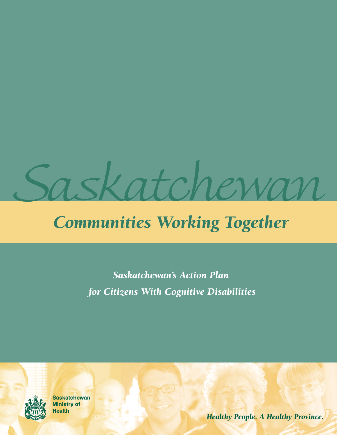

## *Communities Working Together*

*Saskatchewan's Action Plan for Citizens With Cognitive Disabilities*



**Saskatchewan Ministry of Health** 

*Healthy People. A Healthy Province.*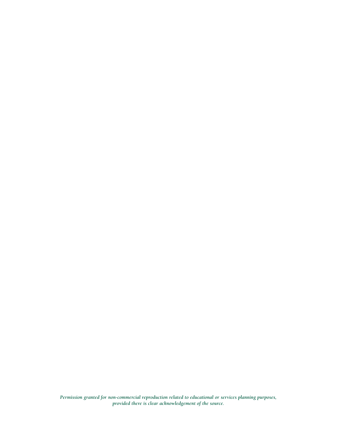*Permission granted for non-commercial reproduction related to educational or services planning purposes, provided there is clear acknowledgement of the source.*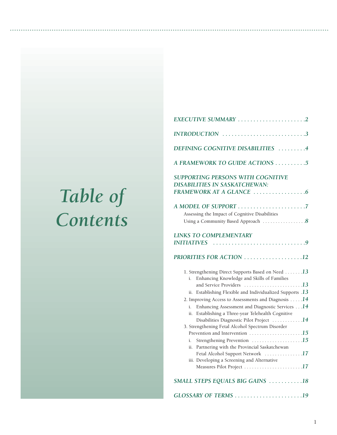# *Table of Contents*

| DEFINING COGNITIVE DISABILITIES 4                                                                                                                                                                                                                                                                                                                                                                                                                                                                                                                                                                                                                                 |
|-------------------------------------------------------------------------------------------------------------------------------------------------------------------------------------------------------------------------------------------------------------------------------------------------------------------------------------------------------------------------------------------------------------------------------------------------------------------------------------------------------------------------------------------------------------------------------------------------------------------------------------------------------------------|
| A FRAMEWORK TO GUIDE ACTIONS 5                                                                                                                                                                                                                                                                                                                                                                                                                                                                                                                                                                                                                                    |
| SUPPORTING PERSONS WITH COGNITIVE<br><b>DISABILITIES IN SASKATCHEWAN:</b>                                                                                                                                                                                                                                                                                                                                                                                                                                                                                                                                                                                         |
|                                                                                                                                                                                                                                                                                                                                                                                                                                                                                                                                                                                                                                                                   |
| Assessing the Impact of Cognitive Disabilities                                                                                                                                                                                                                                                                                                                                                                                                                                                                                                                                                                                                                    |
| Using a Community Based Approach 8                                                                                                                                                                                                                                                                                                                                                                                                                                                                                                                                                                                                                                |
| <b>LINKS TO COMPLEMENTARY</b><br><b>INITIATIVES</b><br>PRIORITIES FOR ACTION 12                                                                                                                                                                                                                                                                                                                                                                                                                                                                                                                                                                                   |
| 1. Strengthening Direct Supports Based on Need 13<br>Enhancing Knowledge and Skills of Families<br>i.<br>and Service Providers 13<br>Establishing Flexible and Individualized Supports .13<br>ii.<br>2. Improving Access to Assessments and Diagnosis $\dots$ .14<br>Enhancing Assessment and Diagnostic Services 14<br>i.<br>Establishing a Three-year Telehealth Cognitive<br>ii.<br>Disabilities Diagnostic Pilot Project 14<br>3. Strengthening Fetal Alcohol Spectrum Disorder<br>Strengthening Prevention 15<br>i.<br>Partnering with the Provincial Saskatchewan<br>ii.<br>Fetal Alcohol Support Network 17<br>iii. Developing a Screening and Alternative |
| SMALL STEPS EQUALS BIG GAINS 18                                                                                                                                                                                                                                                                                                                                                                                                                                                                                                                                                                                                                                   |
| GLOSSARY OF TERMS 19                                                                                                                                                                                                                                                                                                                                                                                                                                                                                                                                                                                                                                              |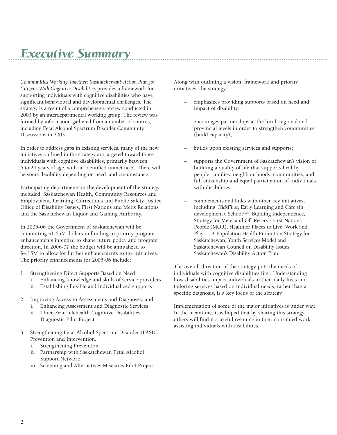### *Executive Summary*

*Communities Working Together: Saskatchewan's Action Plan for Citizens With Cognitive Disabilities* provides a framework for supporting individuals with cognitive disabilities who have significant behavioural and developmental challenges. The strategy is a result of a comprehensive review conducted in 2003 by an interdepartmental working group. The review was formed by information gathered from a number of sources, including Fetal Alcohol Spectrum Disorder Community Discussions in 2003.

In order to address gaps in existing services, many of the new initiatives outlined in the strategy are targeted toward those individuals with cognitive disabilities, primarily between 6 to 24 years of age, with an identified unmet need. There will be some flexibility depending on need, and circumstance.

Participating departments in the development of the strategy included: Saskatchewan Health, Community Resources and Employment, Learning, Corrections and Public Safety, Justice, Office of Disability Issues, First Nations and Métis Relations and the Saskatchewan Liquor and Gaming Authority.

In 2005-06 the Government of Saskatchewan will be committing \$1.65M dollars in funding to priority program enhancements intended to shape future policy and program direction. In 2006-07 the budget will be annualized to \$4.15M to allow for further enhancements to the initiatives. The priority enhancements for 2005-06 include:

- 1. Strengthening Direct Supports Based on Need;
	- i. Enhancing knowledge and skills of service providers
	- ii. Establishing flexible and individualized supports
- 2. Improving Access to Assessments and Diagnoses; and i. Enhancing Assessment and Diagnostic Services
	- ii. Three-Year Telehealth Cognitive Disabilities Diagnostic Pilot Project
- 3. Strengthening Fetal Alcohol Spectrum Disorder (FASD) Prevention and Intervention.
	- i. Strengthening Prevention
	- ii. Partnership with Saskatchewan Fetal Alcohol Support Network
	- iii. Screening and Alternatives Measures Pilot Project

Along with outlining a vision, framework and priority initiatives, the strategy:

- emphasizes providing supports based on need and impact of disability;
- encourages partnerships at the local, regional and provincial levels in order to strengthen communities (build capacity);
- builds upon existing services and supports;
- supports the Government of Saskatchewan's vision of building a quality of life that supports healthy people, families, neighbourhoods, communities, and full citizenship and equal participation of individuals with disabilities;
- complements and links with other key initiatives, including: *KidsFirst*, Early Learning and Care (in development), School<sup>PLUS</sup>, Building Independence, Strategy for Métis and Off-Reserve First Nations People (MOR), Healthier Places to Live, Work and Play. . . A Population Health Promotion Strategy for Saskatchewan, Youth Services Model and Saskatchewan Council on Disability Issues' Saskatchewan's Disability Action Plan.

The overall direction of the strategy puts the needs of individuals with cognitive disabilities first. Understanding how disabilities impact individuals in their daily lives and tailoring services based on individual needs, rather than a specific diagnosis, is a key focus of the strategy.

Implementation of some of the major initiatives is under way. In the meantime, it is hoped that by sharing this strategy others will find it a useful resource in their continued work assisting individuals with disabilities.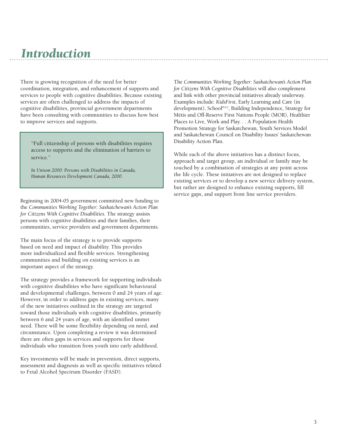### *Introduction*

There is growing recognition of the need for better coordination, integration, and enhancement of supports and services to people with cognitive disabilities. Because existing services are often challenged to address the impacts of cognitive disabilities, provincial government departments have been consulting with communities to discuss how best to improve services and supports.

"Full citizenship of persons with disabilities requires access to supports and the elimination of barriers to service."

*In Unison 2000: Persons with Disabilities in Canada, Human Resources Development Canada, 2000.*

Beginning in 2004-05 government committed new funding to the *Communities Working Together: Saskatchewan's Action Plan for Citizens With Cognitive Disabilities.* The strategy assists persons with cognitive disabilities and their families, their communities, service providers and government departments.

The main focus of the strategy is to provide supports based on need and impact of disability. This provides more individualized and flexible services. Strengthening communities and building on existing services is an important aspect of the strategy.

The strategy provides a framework for supporting individuals with cognitive disabilities who have significant behavioural and developmental challenges, between 0 and 24 years of age. However, in order to address gaps in existing services, many of the new initiatives outlined in the strategy are targeted toward those individuals with cognitive disabilities, primarily between 6 and 24 years of age, with an identified unmet need. There will be some flexibility depending on need, and circumstance. Upon completing a review it was determined there are often gaps in services and supports for those individuals who transition from youth into early adulthood.

Key investments will be made in prevention, direct supports, assessment and diagnosis as well as specific initiatives related to Fetal Alcohol Spectrum Disorder (FASD).

The *Communities Working Together: Saskatchewan's Action Plan for Citizens With Cognitive Disabilities* will also complement and link with other provincial initiatives already underway. Examples include: *KidsFirst*, Early Learning and Care (in development), SchoolPLUS, Building Independence, Strategy for Métis and Off-Reserve First Nations People (MOR), Healthier Places to Live, Work and Play. . . A Population Health Promotion Strategy for Saskatchewan, Youth Services Model and Saskatchewan Council on Disability Issues' Saskatchewan Disability Action Plan.

While each of the above initiatives has a distinct focus, approach and target group, an individual or family may be touched by a combination of strategies at any point across the life cycle. These initiatives are not designed to replace existing services or to develop a new service delivery system, but rather are designed to enhance existing supports, fill service gaps, and support front line service providers.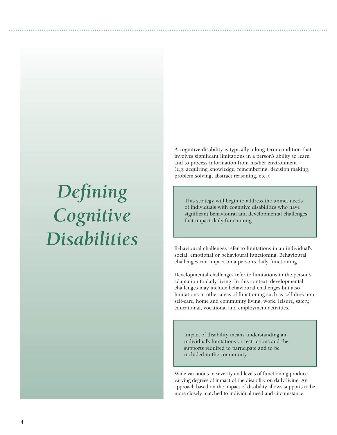# *Defining Cognitive Disabilities*

A cognitive disability is typically a long-term condition that involves significant limitations in a person's ability to learn and to process information from his/her environment (e.g. acquiring knowledge, remembering, decision making, problem solving, abstract reasoning, etc.).

This strategy will begin to address the unmet needs of individuals with cognitive disabilities who have significant behavioural and developmental challenges that impact daily functioning.

Behavioural challenges refer to limitations in an individual's social, emotional or behavioural functioning. Behavioural challenges can impact on a person's daily functioning.

Developmental challenges refer to limitations in the person's adaptation to daily living. In this context, developmental challenges may include behavioural challenges but also limitations in other areas of functioning such as self-direction, self-care, home and community living, work, leisure, safety, educational, vocational and employment activities.

Impact of disability means understanding an individual's limitations or restrictions and the supports required to participate and to be included in the community.

Wide variations in severity and levels of functioning produce varying degrees of impact of the disability on daily living. An approach based on the impact of disability allows supports to be more closely matched to individual need and circumstance.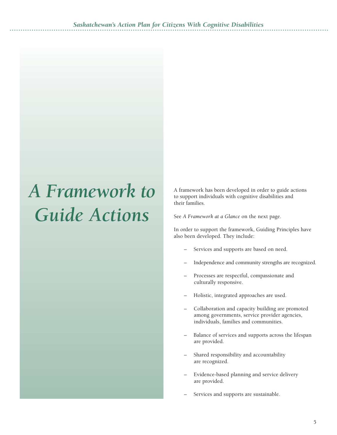# *A Framework to Guide Actions*

A framework has been developed in order to guide actions to support individuals with cognitive disabilities and their families.

See *A Framework at a Glance* on the next page.

In order to support the framework, Guiding Principles have also been developed. They include:

- Services and supports are based on need.
- Independence and community strengths are recognized.
- Processes are respectful, compassionate and culturally responsive.
- Holistic, integrated approaches are used.
- Collaboration and capacity building are promoted among governments, service provider agencies, individuals, families and communities.
- Balance of services and supports across the lifespan are provided.
- Shared responsibility and accountability are recognized.
- Evidence-based planning and service delivery are provided.
- Services and supports are sustainable.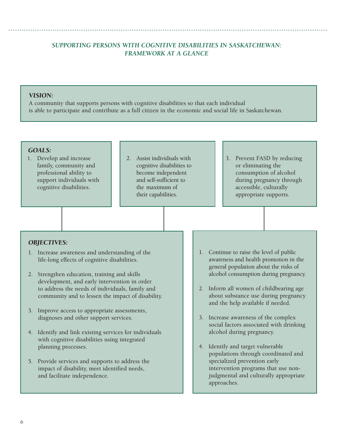#### *SUPPORTING PERSONS WITH COGNITIVE DISABILITIES IN SASKATCHEWAN: FRAMEWORK AT A GLANCE*

#### *VISION:*

A community that supports persons with cognitive disabilities so that each individual is able to participate and contribute as a full citizen in the economic and social life in Saskatchewan.

#### *GOALS:*

- 1. Develop and increase family, community and professional ability to support individuals with cognitive disabilities.
- 2. Assist individuals with cognitive disabilities to become independent and self-sufficient to the maximum of their capabilities.
- 3. Prevent FASD by reducing or eliminating the consumption of alcohol during pregnancy through accessible, culturally appropriate supports.

#### *OBJECTIVES:*

- 1. Increase awareness and understanding of the life-long effects of cognitive disabilities.
- 2. Strengthen education, training and skills development, and early intervention in order to address the needs of individuals, family and community and to lessen the impact of disability.
- 3. Improve access to appropriate assessments, diagnoses and other support services.
- 4. Identify and link existing services for individuals with cognitive disabilities using integrated planning processes.
- 5. Provide services and supports to address the impact of disability, meet identified needs, and facilitate independence.
- 1. Continue to raise the level of public awareness and health promotion in the general population about the risks of alcohol consumption during pregnancy.
- 2. Inform all women of childbearing age about substance use during pregnancy and the help available if needed.
- 3. Increase awareness of the complex social factors associated with drinking alcohol during pregnancy.
- 4. Identify and target vulnerable populations through coordinated and specialized prevention early intervention programs that use nonjudgmental and culturally appropriate approaches.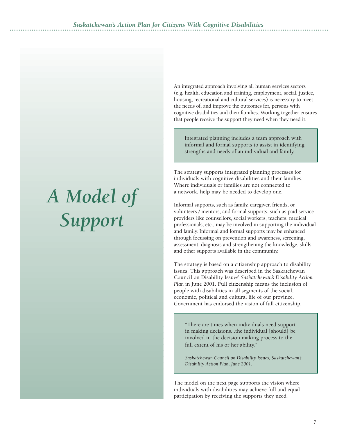# *A Model of Support*

An integrated approach involving all human services sectors (e.g. health, education and training, employment, social, justice, housing, recreational and cultural services) is necessary to meet the needs of, and improve the outcomes for, persons with cognitive disabilities and their families. Working together ensures that people receive the support they need when they need it.

Integrated planning includes a team approach with informal and formal supports to assist in identifying strengths and needs of an individual and family.

The strategy supports integrated planning processes for individuals with cognitive disabilities and their families. Where individuals or families are not connected to a network, help may be needed to develop one.

Informal supports, such as family, caregiver, friends, or volunteers / mentors, and formal supports, such as paid service providers like counsellors, social workers, teachers, medical professionals, etc., may be involved in supporting the individual and family. Informal and formal supports may be enhanced through focussing on prevention and awareness, screening, assessment, diagnosis and strengthening the knowledge, skills and other supports available in the community.

The strategy is based on a citizenship approach to disability issues. This approach was described in the Saskatchewan Council on Disability Issues' *Saskatchewan's Disability Action Plan* in June 2001. Full citizenship means the inclusion of people with disabilities in all segments of the social, economic, political and cultural life of our province. Government has endorsed the vision of full citizenship.

"There are times when individuals need support in making decisions...the individual [should] be involved in the decision making process to the full extent of his or her ability."

*Saskatchewan Council on Disability Issues, Saskatchewan's Disability Action Plan, June 2001.*

The model on the next page supports the vision where individuals with disabilities may achieve full and equal participation by receiving the supports they need.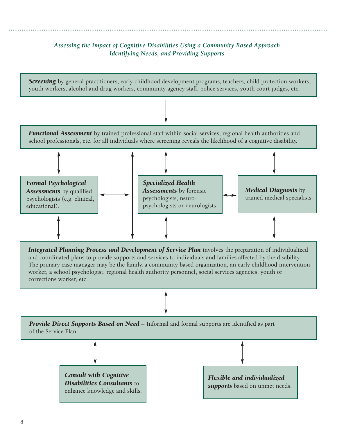#### *Assessing the Impact of Cognitive Disabilities Using a Community Based Approach Identifying Needs, and Providing Supports*

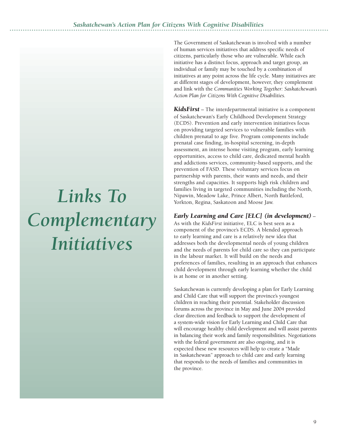# *Links To Complementary Initiatives*

The Government of Saskatchewan is involved with a number of human services initiatives that address specific needs of citizens, particularly those who are vulnerable. While each initiative has a distinct focus, approach and target group, an individual or family may be touched by a combination of initiatives at any point across the life cycle. Many initiatives are at different stages of development, however, they complement and link with the *Communities Working Together: Saskatchewan's Action Plan for Citizens With Cognitive Disabilities.*

*KidsFirst* – The interdepartmental initiative is a component of Saskatchewan's Early Childhood Development Strategy (ECDS). Prevention and early intervention initiatives focus on providing targeted services to vulnerable families with children prenatal to age five. Program components include prenatal case finding, in-hospital screening, in-depth assessment, an intense home visiting program, early learning opportunities, access to child care, dedicated mental health and addictions services, community-based supports, and the prevention of FASD. These voluntary services focus on partnership with parents, their wants and needs, and their strengths and capacities. It supports high risk children and families living in targeted communities including the North, Nipawin, Meadow Lake, Prince Albert, North Battleford, Yorkton, Regina, Saskatoon and Moose Jaw.

#### *Early Learning and Care [ELC] (in development)* –

As with the *KidsFirst* initiative, ELC is best seen as a component of the province's ECDS. A blended approach to early learning and care is a relatively new idea that addresses both the developmental needs of young children and the needs of parents for child care so they can participate in the labour market. It will build on the needs and preferences of families, resulting in an approach that enhances child development through early learning whether the child is at home or in another setting.

Saskatchewan is currently developing a plan for Early Learning and Child Care that will support the province's youngest children in reaching their potential. Stakeholder discussion forums across the province in May and June 2004 provided clear direction and feedback to support the development of a system-wide vision for Early Learning and Child Care that will encourage healthy child development and will assist parents in balancing their work and family responsibilities. Negotiations with the federal government are also ongoing, and it is expected these new resources will help to create a "Made in Saskatchewan" approach to child care and early learning that responds to the needs of families and communities in the province.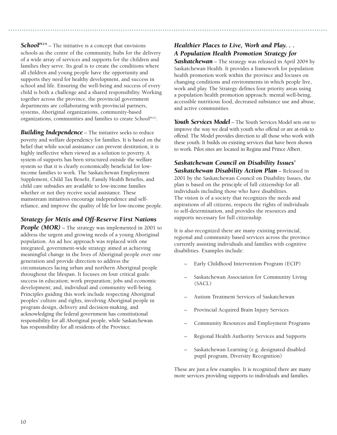*SchoolPLUS* – The initiative is a concept that envisions schools as the centre of the community, hubs for the delivery of a wide array of services and supports for the children and families they serve. Its goal is to create the conditions where all children and young people have the opportunity and supports they need for healthy development, and success in school and life. Ensuring the well-being and success of every child is both a challenge and a shared responsibility. Working together across the province, the provincial government departments are collaborating with provincial partners, systems, Aboriginal organizations, community-based organizations, communities and families to create School<sup>PLUS</sup>.

**Building Independence** – The initiative seeks to reduce poverty and welfare dependency for families. It is based on the belief that while social assistance can prevent destitution, it is highly ineffective when viewed as a solution to poverty. A system of supports has been structured outside the welfare system so that it is clearly economically beneficial for lowincome families to work. The Saskatchewan Employment Supplement, Child Tax Benefit, Family Health Benefits, and child care subsidies are available to low-income families whether or not they receive social assistance. These mainstream initiatives encourage independence and selfreliance, and improve the quality of life for low-income people.

#### *Strategy for Métis and Off-Reserve First Nations*

**People (MOR)** – The strategy was implemented in 2001 to address the urgent and growing needs of a young Aboriginal population. An ad hoc approach was replaced with one integrated, government-wide strategy aimed at achieving meaningful change in the lives of Aboriginal people over one generation and provide direction to address the circumstances facing urban and northern Aboriginal people throughout the lifespan. It focuses on four critical goals: success in education; work preparation; jobs and economic development; and, individual and community well-being. Principles guiding this work include respecting Aboriginal peoples' culture and rights, involving Aboriginal people in program design, delivery and decision-making, and acknowledging the federal government has constitutional responsibility for all Aboriginal people, while Saskatchewan has responsibility for all residents of the Province.

#### *Healthier Places to Live, Work and Play. . . A Population Health Promotion Strategy for*

*Saskatchewan* – The strategy was released in April 2004 by Saskatchewan Health. It provides a framework for population health promotion work within the province and focuses on changing conditions and environments in which people live, work and play. The Strategy defines four priority areas using a population health promotion approach: mental well-being, accessible nutritious food, decreased substance use and abuse, and active communities.

*Youth Services Model* – The Youth Services Model sets out to improve the way we deal with youth who offend or are at-risk to offend. The Model provides direction to all those who work with these youth. It builds on existing services that have been shown to work. Pilot sites are located in Regina and Prince Albert.

#### *Saskatchewan Council on Disability Issues' Saskatchewan Disability Action Plan* – Released in 2001 by the Saskatchewan Council on Disability Issues, the plan is based on the principle of full citizenship for all individuals including those who have disabilities. The vision is of a society that recognizes the needs and aspirations of all citizens, respects the rights of individuals to self-determination, and provides the resources and supports necessary for full citizenship.

It is also recognized there are many existing provincial, regional and community based services across the province currently assisting individuals and families with cognitive disabilities. Examples include:

- Early Childhood Intervention Program (ECIP)
- Saskatchewan Association for Community Living (SACL)
- Autism Treatment Services of Saskatchewan
- Provincial Acquired Brain Injury Services
- Community Resources and Employment Programs
- Regional Health Authority Services and Supports
- Saskatchewan Learning (e.g. designated disabled pupil program, Diversity Recognition)

These are just a few examples. It is recognized there are many more services providing supports to individuals and families.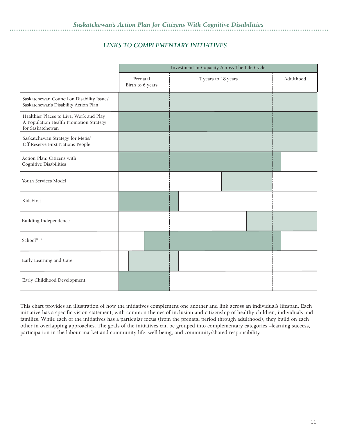#### *LINKS TO COMPLEMENTARY INITIATIVES*

|                                                                                                       | Investment in Capacity Across The Life Cycle |                     |           |
|-------------------------------------------------------------------------------------------------------|----------------------------------------------|---------------------|-----------|
|                                                                                                       | Prenatal<br>Birth to 6 years                 | 7 years to 18 years | Adulthood |
| Saskatchewan Council on Disability Issues'<br>Saskatchewan's Disability Action Plan                   |                                              |                     |           |
| Healthier Places to Live, Work and Play<br>A Population Health Promotion Strategy<br>for Saskatchewan |                                              |                     |           |
| Saskatchewan Strategy for Métis/<br>Off Reserve First Nations People                                  |                                              |                     |           |
| Action Plan: Citizens with<br>Cognitive Disabilities                                                  |                                              |                     |           |
| Youth Services Model                                                                                  |                                              |                     |           |
| KidsFirst                                                                                             |                                              |                     |           |
| Building Independence                                                                                 |                                              |                     |           |
| SchoolPLUS                                                                                            |                                              |                     |           |
| Early Learning and Care                                                                               |                                              |                     |           |
| Early Childhood Development                                                                           |                                              |                     |           |

This chart provides an illustration of how the initiatives complement one another and link across an individual's lifespan. Each initiative has a specific vision statement, with common themes of inclusion and citizenship of healthy children, individuals and families. While each of the initiatives has a particular focus (from the prenatal period through adulthood), they build on each other in overlapping approaches. The goals of the initiatives can be grouped into complementary categories –learning success, participation in the labour market and community life, well being, and community/shared responsibility.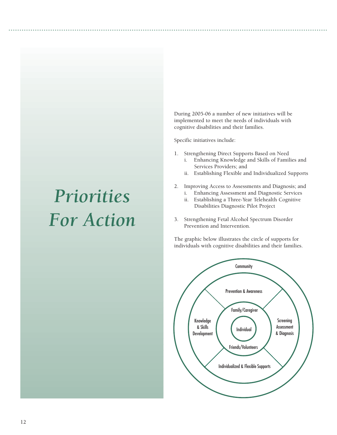## *Priorities For Action*

During 2005-06 a number of new initiatives will be implemented to meet the needs of individuals with cognitive disabilities and their families.

Specific initiatives include:

- 1. Strengthening Direct Supports Based on Need
	- i. Enhancing Knowledge and Skills of Families and Services Providers; and
	- ii. Establishing Flexible and Individualized Supports
- 2. Improving Access to Assessments and Diagnosis; and
	- i. Enhancing Assessment and Diagnostic Services
	- ii. Establishing a Three-Year Telehealth Cognitive Disabilities Diagnostic Pilot Project
- 3. Strengthening Fetal Alcohol Spectrum Disorder Prevention and Intervention.

The graphic below illustrates the circle of supports for individuals with cognitive disabilities and their families.

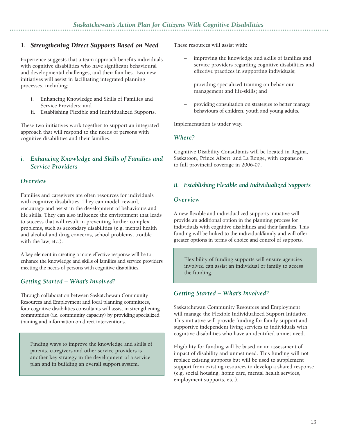#### *1. Strengthening Direct Supports Based on Need*

Experience suggests that a team approach benefits individuals with cognitive disabilities who have significant behavioural and developmental challenges, and their families. Two new initiatives will assist in facilitating integrated planning processes, including:

- i. Enhancing Knowledge and Skills of Families and Service Providers; and
- ii. Establishing Flexible and Individualized Supports.

These two initiatives work together to support an integrated approach that will respond to the needs of persons with cognitive disabilities and their families.

#### *i. Enhancing Knowledge and Skills of Families and Service Providers*

#### *Overview*

Families and caregivers are often resources for individuals with cognitive disabilities. They can model, reward, encourage and assist in the development of behaviours and life skills. They can also influence the environment that leads to success that will result in preventing further complex problems, such as secondary disabilities (e.g. mental health and alcohol and drug concerns, school problems, trouble with the law, etc.).

A key element in creating a more effective response will be to enhance the knowledge and skills of families and service providers meeting the needs of persons with cognitive disabilities.

#### *Getting Started – What's Involved?*

Through collaboration between Saskatchewan Community Resources and Employment and local planning committees, four cognitive disabilities consultants will assist in strengthening communities (i.e. community capacity) by providing specialized training and information on direct interventions.

Finding ways to improve the knowledge and skills of parents, caregivers and other service providers is another key strategy in the development of a service plan and in building an overall support system.

These resources will assist with:

- improving the knowledge and skills of families and service providers regarding cognitive disabilities and effective practices in supporting individuals;
- providing specialized training on behaviour management and life-skills; and
- providing consultation on strategies to better manage behaviours of children, youth and young adults.

Implementation is under way.

#### *Where?*

Cognitive Disability Consultants will be located in Regina, Saskatoon, Prince Albert, and La Ronge, with expansion to full provincial coverage in 2006-07.

#### *ii. Establishing Flexible and Individualized Supports*

#### *Overview*

A new flexible and individualized supports initiative will provide an additional option in the planning process for individuals with cognitive disabilities and their families. This funding will be linked to the individual/family and will offer greater options in terms of choice and control of supports.

Flexibility of funding supports will ensure agencies involved can assist an individual or family to access the funding.

#### *Getting Started – What's Involved?*

Saskatchewan Community Resources and Employment will manage the Flexible Individualized Support Initiative. This initiative will provide funding for family support and supportive independent living services to individuals with cognitive disabilities who have an identified unmet need.

Eligibility for funding will be based on an assessment of impact of disability and unmet need. This funding will not replace existing supports but will be used to supplement support from existing resources to develop a shared response (e.g. social housing, home care, mental health services, employment supports, etc.).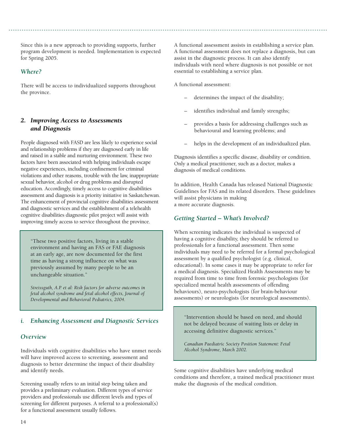Since this is a new approach to providing supports, further program development is needed. Implementation is expected for Spring 2005.

#### *Where?*

There will be access to individualized supports throughout the province.

#### *2. Improving Access to Assessments and Diagnosis*

People diagnosed with FASD are less likely to experience social and relationship problems if they are diagnosed early in life and raised in a stable and nurturing environment. These two factors have been associated with helping individuals escape negative experiences, including confinement for criminal violations and other reasons, trouble with the law, inappropriate sexual behavior, alcohol or drug problems and disrupted education. Accordingly, timely access to cognitive disabilities assessment and diagnosis is a priority initiative in Saskatchewan. The enhancement of provincial cognitive disabilities assessment and diagnostic services and the establishment of a telehealth cognitive disabilities diagnostic pilot project will assist with improving timely access to service throughout the province.

"These two positive factors, living in a stable environment and having an FAS or FAE diagnosis at an early age, are now documented for the first time as having a strong influence on what was previously assumed by many people to be an unchangeable situation."

*Streissguth, A.P. et al: Risk factors for adverse outcomes in fetal alcohol syndrome and fetal alcohol effects, Journal of Developmental and Behavioral Pediatrics, 2004.*

#### *i. Enhancing Assessment and Diagnostic Services*

#### *Overview*

Individuals with cognitive disabilities who have unmet needs will have improved access to screening, assessment and diagnosis to better determine the impact of their disability and identify needs.

Screening usually refers to an initial step being taken and provides a preliminary evaluation. Different types of service providers and professionals use different levels and types of screening for different purposes. A referral to a professional(s) for a functional assessment usually follows.

A functional assessment assists in establishing a service plan. A functional assessment does not replace a diagnosis, but can assist in the diagnostic process. It can also identify individuals with need where diagnosis is not possible or not essential to establishing a service plan.

A functional assessment:

- determines the impact of the disability;
- identifies individual and family strengths;
- provides a basis for addressing challenges such as behavioural and learning problems; and
- helps in the development of an individualized plan.

Diagnosis identifies a specific disease, disability or condition. Only a medical practitioner, such as a doctor, makes a diagnosis of medical conditions.

In addition, Health Canada has released National Diagnostic Guidelines for FAS and its related disorders. These guidelines will assist physicians in making a more accurate diagnosis.

#### *Getting Started – What's Involved?*

When screening indicates the individual is suspected of having a cognitive disability, they should be referred to professionals for a functional assessment. Then some individuals may need to be referred for a formal psychological assessment by a qualified psychologist (e.g. clinical, educational). In some cases it may be appropriate to refer for a medical diagnosis. Specialized Health Assessments may be required from time to time from forensic psychologists (for specialized mental health assessments of offending behaviours), neuro-psychologists (for brain-behaviour assessments) or neurologists (for neurological assessments).

"Intervention should be based on need, and should not be delayed because of waiting lists or delay in accessing definitive diagnostic services."

*Canadian Paediatric Society Position Statement: Fetal Alcohol Syndrome, March 2002.*

Some cognitive disabilities have underlying medical conditions and therefore, a trained medical practitioner must make the diagnosis of the medical condition.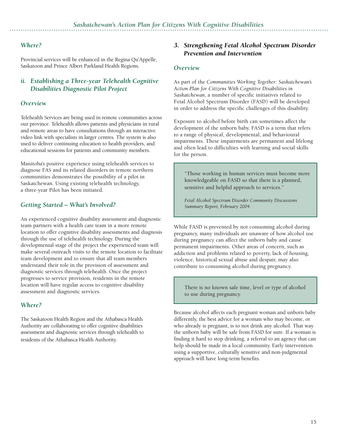#### *Where?*

Provincial services will be enhanced in the Regina Qu'Appelle, Saskatoon and Prince Albert Parkland Health Regions.

#### *ii. Establishing a Three-year Telehealth Cognitive Disabilities Diagnostic Pilot Project*

#### *Overview*

Telehealth Services are being used in remote communities across our province. Telehealth allows patients and physicians in rural and remote areas to have consultations through an interactive video link with specialists in larger centres. The system is also used to deliver continuing education to health providers, and educational sessions for patients and community members.

Manitoba's positive experience using telehealth services to diagnose FAS and its related disorders in remote northern communities demonstrates the possibility of a pilot in Saskatchewan. Using existing telehealth technology, a three-year Pilot has been initiated.

#### *Getting Started – What's Involved?*

An experienced cognitive disability assessment and diagnostic team partners with a health care team in a more remote location to offer cognitive disability assessments and diagnosis through the use of telehealth technology. During the developmental stage of the project the experienced team will make several outreach visits to the remote location to facilitate team development and to ensure that all team members understand their role in the provision of assessment and diagnostic services through telehealth. Once the project progresses to service provision, residents in the remote location will have regular access to cognitive disability assessment and diagnostic services.

#### *Where?*

The Saskatoon Health Region and the Athabasca Health Authority are collaborating to offer cognitive disabilities assessment and diagnostic services through telehealth to residents of the Athabasca Health Authority.

#### *3. Strengthening Fetal Alcohol Spectrum Disorder Prevention and Intervention*

#### *Overview*

As part of the *Communities Working Together: Saskatchewan's Action Plan for Citizens With Cognitive Disabilities in Saskatchewan*, a number of specific initiatives related to Fetal Alcohol Spectrum Disorder (FASD) will be developed in order to address the specific challenges of this disability.

Exposure to alcohol before birth can sometimes affect the development of the unborn baby. FASD is a term that refers to a range of physical, developmental, and behavioural impairments. These impairments are permanent and lifelong and often lead to difficulties with learning and social skills for the person.

"Those working in human services must become more knowledgeable on FASD so that there is a planned, sensitive and helpful approach to services."

*Fetal Alcohol Spectrum Disorder Community Discussions Summary Report, February 2004.*

While FASD is prevented by not consuming alcohol during pregnancy, many individuals are unaware of how alcohol use during pregnancy can affect the unborn baby and cause permanent impairments. Other areas of concern, such as addiction and problems related to poverty, lack of housing, violence, historical sexual abuse and despair, may also contribute to consuming alcohol during pregnancy.

There is no known safe time, level or type of alcohol to use during pregnancy.

Because alcohol affects each pregnant woman and unborn baby differently, the best advice for a woman who may become, or who already is pregnant, is to not drink any alcohol. That way the unborn baby will be safe from FASD for sure. If a woman is finding it hard to stop drinking, a referral to an agency that can help should be made in a local community. Early intervention using a supportive, culturally sensitive and non-judgmental approach will have long-term benefits.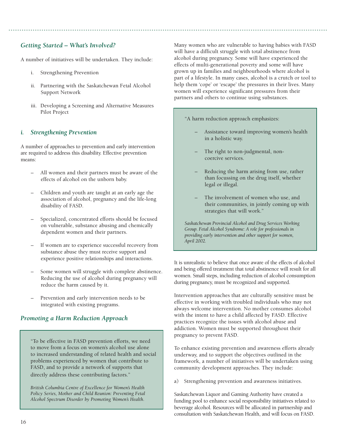#### *Getting Started – What's Involved?*

A number of initiatives will be undertaken. They include:

- i. Strengthening Prevention
- ii. Partnering with the Saskatchewan Fetal Alcohol Support Network
- iii. Developing a Screening and Alternative Measures Pilot Project

#### *i. Strengthening Prevention*

A number of approaches to prevention and early intervention are required to address this disability. Effective prevention means:

- All women and their partners must be aware of the effects of alcohol on the unborn baby.
- Children and youth are taught at an early age the association of alcohol, pregnancy and the life-long disability of FASD.
- Specialized, concentrated efforts should be focused on vulnerable, substance abusing and chemically dependent women and their partners.
- If women are to experience successful recovery from substance abuse they must receive support and experience positive relationships and interactions.
- Some women will struggle with complete abstinence. Reducing the use of alcohol during pregnancy will reduce the harm caused by it.
- Prevention and early intervention needs to be integrated with existing programs.

#### *Promoting a Harm Reduction Approach*

"To be effective in FASD prevention efforts, we need to move from a focus on women's alcohol use alone to increased understanding of related health and social problems experienced by women that contribute to FASD, and to provide a network of supports that directly address these contributing factors."

*British Columbia Centre of Excellence for Women's Health Policy Series, Mother and Child Reunion: Preventing Fetal Alcohol Spectrum Disorder by Promoting Women's Health.*

Many women who are vulnerable to having babies with FASD will have a difficult struggle with total abstinence from alcohol during pregnancy. Some will have experienced the effects of multi-generational poverty and some will have grown up in families and neighbourhoods where alcohol is part of a lifestyle. In many cases, alcohol is a crutch or tool to help them 'cope' or 'escape' the pressures in their lives. Many women will experience significant pressures from their partners and others to continue using substances.

"A harm reduction approach emphasizes:

- Assistance toward improving women's health in a holistic way.
- The right to non-judgmental, noncoercive services.
- Reducing the harm arising from use, rather than focussing on the drug itself, whether legal or illegal.
- The involvement of women who use, and their communities, in jointly coming up with strategies that will work."

*Saskatchewan Provincial Alcohol and Drug Services Working Group. Fetal Alcohol Syndrome: A role for professionals in providing early intervention and other support for women, April 2002.*

It is unrealistic to believe that once aware of the effects of alcohol and being offered treatment that total abstinence will result for all women. Small steps, including reduction of alcohol consumption during pregnancy, must be recognized and supported.

Intervention approaches that are culturally sensitive must be effective in working with troubled individuals who may not always welcome intervention. No mother consumes alcohol with the intent to have a child affected by FASD. Effective practices recognize the issues with alcohol abuse and addiction. Women must be supported throughout their pregnancy to prevent FASD.

To enhance existing prevention and awareness efforts already underway, and to support the objectives outlined in the framework, a number of initiatives will be undertaken using community development approaches. They include:

a) Strengthening prevention and awareness initiatives.

Saskatchewan Liquor and Gaming Authority have created a funding pool to enhance social responsibility initiatives related to beverage alcohol. Resources will be allocated in partnership and consultation with Saskatchewan Health, and will focus on FASD.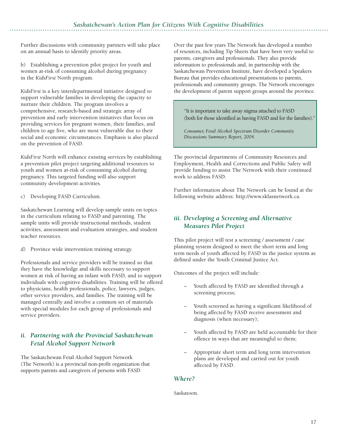Further discussions with community partners will take place on an annual basis to identify priority areas.

b) Establishing a prevention pilot project for youth and women at-risk of consuming alcohol during pregnancy in the *KidsFirst* North program.

*KidsFirst* is a key interdepartmental initiative designed to support vulnerable families in developing the capacity to nurture their children. The program involves a comprehensive, research-based and strategic array of prevention and early intervention initiatives that focus on providing services for pregnant women, their families, and children to age five, who are most vulnerable due to their social and economic circumstances. Emphasis is also placed on the prevention of FASD.

*KidsFirst* North will enhance existing services by establishing a prevention pilot project targeting additional resources to youth and women at-risk of consuming alcohol during pregnancy. This targeted funding will also support community development activities.

c) Developing FASD Curriculum.

Saskatchewan Learning will develop sample units on topics in the curriculum relating to FASD and parenting. The sample units will provide instructional methods, student activities, assessment and evaluation strategies, and student teacher resources.

d) Province wide intervention training strategy.

Professionals and service providers will be trained so that they have the knowledge and skills necessary to support women at risk of having an infant with FASD, and to support individuals with cognitive disabilities. Training will be offered to physicians, health professionals, police, lawyers, judges, other service providers, and families. The training will be managed centrally and involve a common set of materials with special modules for each group of professionals and service providers.

#### *ii. Partnering with the Provincial Saskatchewan Fetal Alcohol Support Network*

The Saskatchewan Fetal Alcohol Support Network (The Network) is a provincial non-profit organization that supports parents and caregivers of persons with FASD.

Over the past few years The Network has developed a number of resources, including Tip Sheets that have been very useful to parents, caregivers and professionals. They also provide information to professionals and, in partnership with the Saskatchewan Prevention Institute, have developed a Speakers Bureau that provides educational presentations to parents, professionals and community groups. The Network encourages the development of parent support groups around the province.

"It is important to take away stigma attached to FASD (both for those identified as having FASD and for the families)."

*Consumer, Fetal Alcohol Spectrum Disorder Community Discussions Summary Report, 2004.*

The provincial departments of Community Resources and Employment, Health and Corrections and Public Safety will provide funding to assist The Network with their continued work to address FASD.

Further information about The Network can be found at the following website address: http://www.skfasnetwork.ca.

#### *iii. Developing a Screening and Alternative Measures Pilot Project*

This pilot project will test a screening / assessment / case planning system designed to meet the short term and long term needs of youth affected by FASD in the justice system as defined under the Youth Criminal Justice Act.

Outcomes of the project will include:

- Youth affected by FASD are identified through a screening process;
- Youth screened as having a significant likelihood of being affected by FASD receive assessment and diagnosis (when necessary);
- Youth affected by FASD are held accountable for their offence in ways that are meaningful to them;
- Appropriate short term and long term intervention plans are developed and carried out for youth affected by FASD.

#### *Where?*

Saskatoon.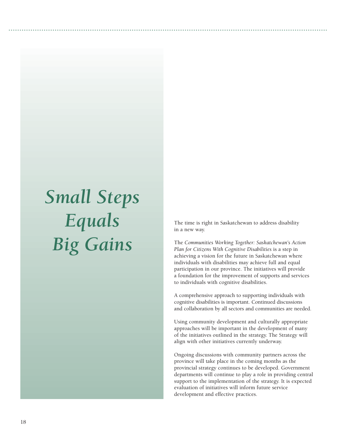# *Small Steps Equals Big Gains*

The time is right in Saskatchewan to address disability in a new way.

The *Communities Working Together: Saskatchewan's Action Plan for Citizens With Cognitive Disabilities* is a step in achieving a vision for the future in Saskatchewan where individuals with disabilities may achieve full and equal participation in our province. The initiatives will provide a foundation for the improvement of supports and services to individuals with cognitive disabilities.

A comprehensive approach to supporting individuals with cognitive disabilities is important. Continued discussions and collaboration by all sectors and communities are needed.

Using community development and culturally appropriate approaches will be important in the development of many of the initiatives outlined in the strategy. The Strategy will align with other initiatives currently underway.

Ongoing discussions with community partners across the province will take place in the coming months as the provincial strategy continues to be developed. Government departments will continue to play a role in providing central support to the implementation of the strategy. It is expected evaluation of initiatives will inform future service development and effective practices.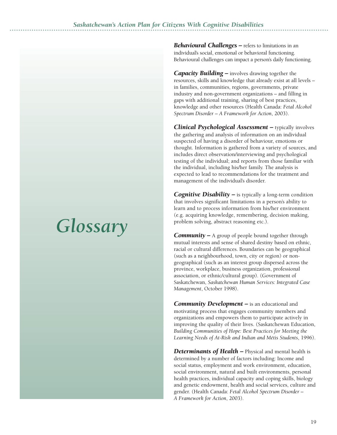# *Glossary*

*Behavioural Challenges –* refers to limitations in an individual's social, emotional or behavioral functioning. Behavioural challenges can impact a person's daily functioning.

*Capacity Building –* involves drawing together the resources, skills and knowledge that already exist at all levels – in families, communities, regions, governments, private industry and non-government organizations – and filling in gaps with additional training, sharing of best practices, knowledge and other resources (Health Canada: *Fetal Alcohol Spectrum Disorder – A Framework for Action*, 2003).

*Clinical Psychological Assessment –* typically involves the gathering and analysis of information on an individual suspected of having a disorder of behaviour, emotions or thought. Information is gathered from a variety of sources, and includes direct observation/interviewing and psychological testing of the individual; and reports from those familiar with the individual, including his/her family. The analysis is expected to lead to recommendations for the treatment and management of the individual's disorder.

*Cognitive Disability –* is typically a long-term condition that involves significant limitations in a person's ability to learn and to process information from his/her environment (e.g. acquiring knowledge, remembering, decision making, problem solving, abstract reasoning etc.).

*Community –* A group of people bound together through mutual interests and sense of shared destiny based on ethnic, racial or cultural differences. Boundaries can be geographical (such as a neighbourhood, town, city or region) or nongeographical (such as an interest group dispersed across the province, workplace, business organization, professional association, or ethnic/cultural group). (Government of Saskatchewan, *Saskatchewan Human Services: Integrated Case Management*, October 1998).

*Community Development –* is an educational and motivating process that engages community members and organizations and empowers them to participate actively in improving the quality of their lives. (Saskatchewan Education, *Building Communities of Hope: Best Practices for Meeting the Learning Needs of At-Risk and Indian and Métis Students*, 1996).

**Determinants of Health –** Physical and mental health is determined by a number of factors including: Income and social status, employment and work environment, education, social environment, natural and built environments, personal health practices, individual capacity and coping skills, biology and genetic endowment, health and social services, culture and gender. (Health Canada: *Fetal Alcohol Spectrum Disorder – A Framework for Action*, 2003).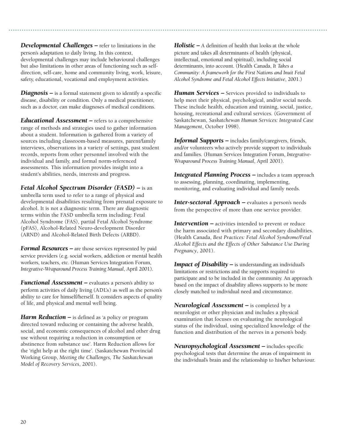*Developmental Challenges –* refer to limitations in the person's adaptation to daily living. In this context, developmental challenges may include behavioural challenges but also limitations in other areas of functioning such as selfdirection, self-care, home and community living, work, leisure, safety, educational, vocational and employment activities.

*Diagnosis –* is a formal statement given to identify a specific disease, disability or condition. Only a medical practitioner, such as a doctor, can make diagnoses of medical conditions.

*Educational Assessment –* refers to a comprehensive range of methods and strategies used to gather information about a student. Information is gathered from a variety of sources including classroom-based measures, parent/family interviews, observations in a variety of settings, past student records, reports from other personnel involved with the individual and family, and formal norm-referenced assessments. This information provides insight into a student's abilities, needs, interests and progress.

*Fetal Alcohol Spectrum Disorder (FASD) –* is an umbrella term used to refer to a range of physical and developmental disabilities resulting from prenatal exposure to alcohol. It is not a diagnostic term. There are diagnostic terms within the FASD umbrella term including: Fetal Alcohol Syndrome (FAS), partial Fetal Alcohol Syndrome (pFAS), Alcohol-Related Neuro-development Disorder (ARND) and Alcohol-Related Birth Defects (ARBD).

*Formal Resources –* are those services represented by paid service providers (e.g. social workers, addiction or mental health workers, teachers, etc. (Human Services Integration Forum, *Integrative-Wraparound Process Training Manual*, April 2001).

*Functional Assessment –* evaluates a person's ability to perform activities of daily living (ADL's) as well as the person's ability to care for himself/herself. It considers aspects of quality of life, and physical and mental well being.

*Harm Reduction –* is defined as 'a policy or program directed toward reducing or containing the adverse health, social, and economic consequences of alcohol and other drug use without requiring a reduction in consumption or abstinence from substance use'. Harm Reduction allows for the 'right help at the right time'. (Saskatchewan Provincial Working Group, *Meeting the Challenges, The Saskatchewan Model of Recovery Services*, 2001).

*Holistic –* A definition of health that looks at the whole picture and takes all determinants of health (physical, intellectual, emotional and spiritual), including social determinants, into account. (Health Canada, *It Takes a Community: A framework for the First Nations and Inuit Fetal Alcohol Syndrome and Fetal Alcohol Effects Initiative*, 2001.)

*Human Services –* Services provided to individuals to help meet their physical, psychological, and/or social needs. These include health, education and training, social, justice, housing, recreational and cultural services. (Government of Saskatchewan, *Saskatchewan Human Services: Integrated Case Management*, October 1998).

*Informal Supports –* includes family/caregivers, friends, and/or volunteers who actively provide support to individuals and families. (Human Services Integration Forum, *Integrative-Wraparound Process Training Manual*, April 2001).

**Integrated Planning Process –** includes a team approach to assessing, planning, coordinating, implementing, monitoring, and evaluating individual and family needs.

*Inter-sectoral Approach –* evaluates a person's needs from the perspective of more than one service provider.

**Intervention –** activities intended to prevent or reduce the harm associated with primary and secondary disabilities. (Health Canada, *Best Practices: Fetal Alcohol Syndrome/Fetal Alcohol Effects and the Effects of Other Substance Use During Pregnancy*, 2001).

*Impact of Disability –* is understanding an individual's limitations or restrictions and the supports required to participate and to be included in the community. An approach based on the impact of disability allows supports to be more closely matched to individual need and circumstance.

*Neurological Assessment –* is completed by a neurologist or other physician and includes a physical examination that focuses on evaluating the neurological status of the individual, using specialized knowledge of the function and distribution of the nerves in a person's body.

*Neuropsychological Assessment –* includes specific psychological tests that determine the areas of impairment in the individual's brain and the relationship to his/her behaviour.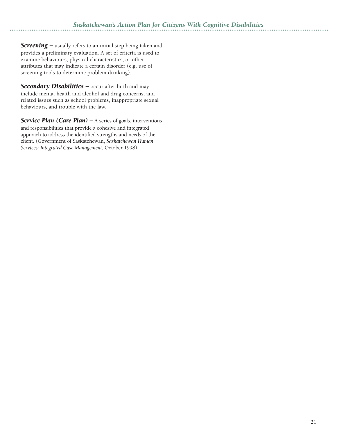*Screening –* usually refers to an initial step being taken and provides a preliminary evaluation. A set of criteria is used to examine behaviours, physical characteristics, or other attributes that may indicate a certain disorder (e.g. use of screening tools to determine problem drinking).

**Secondary Disabilities –** occur after birth and may include mental health and alcohol and drug concerns, and related issues such as school problems, inappropriate sexual behaviours, and trouble with the law.

**Service Plan (Care Plan)** – A series of goals, interventions and responsibilities that provide a cohesive and integrated approach to address the identified strengths and needs of the client. (Government of Saskatchewan, *Saskatchewan Human Services: Integrated Case Management*, October 1998).